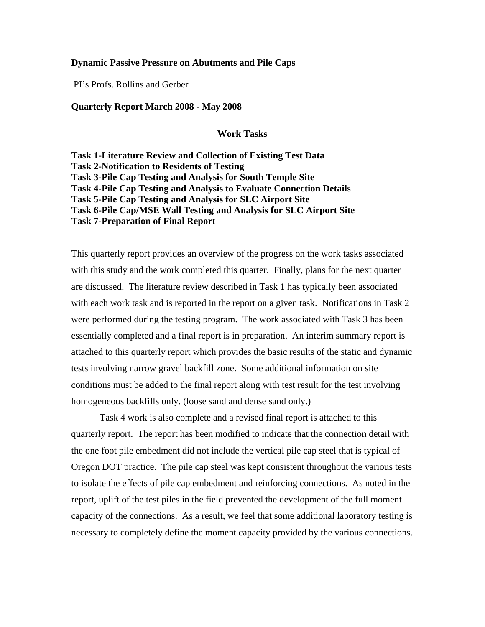## **Dynamic Passive Pressure on Abutments and Pile Caps**

PI's Profs. Rollins and Gerber

## **Quarterly Report March 2008 - May 2008**

**Work Tasks** 

**Task 1-Literature Review and Collection of Existing Test Data Task 2-Notification to Residents of Testing Task 3-Pile Cap Testing and Analysis for South Temple Site Task 4-Pile Cap Testing and Analysis to Evaluate Connection Details Task 5-Pile Cap Testing and Analysis for SLC Airport Site Task 6-Pile Cap/MSE Wall Testing and Analysis for SLC Airport Site Task 7-Preparation of Final Report** 

This quarterly report provides an overview of the progress on the work tasks associated with this study and the work completed this quarter. Finally, plans for the next quarter are discussed. The literature review described in Task 1 has typically been associated with each work task and is reported in the report on a given task. Notifications in Task 2 were performed during the testing program. The work associated with Task 3 has been essentially completed and a final report is in preparation. An interim summary report is attached to this quarterly report which provides the basic results of the static and dynamic tests involving narrow gravel backfill zone. Some additional information on site conditions must be added to the final report along with test result for the test involving homogeneous backfills only. (loose sand and dense sand only.)

Task 4 work is also complete and a revised final report is attached to this quarterly report. The report has been modified to indicate that the connection detail with the one foot pile embedment did not include the vertical pile cap steel that is typical of Oregon DOT practice. The pile cap steel was kept consistent throughout the various tests to isolate the effects of pile cap embedment and reinforcing connections. As noted in the report, uplift of the test piles in the field prevented the development of the full moment capacity of the connections. As a result, we feel that some additional laboratory testing is necessary to completely define the moment capacity provided by the various connections.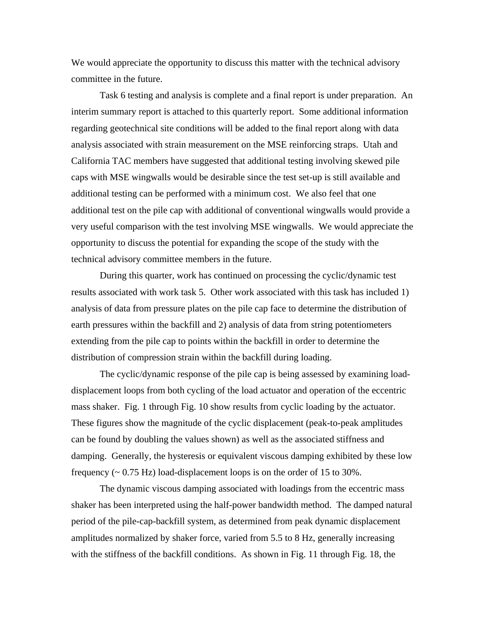We would appreciate the opportunity to discuss this matter with the technical advisory committee in the future.

 Task 6 testing and analysis is complete and a final report is under preparation. An interim summary report is attached to this quarterly report. Some additional information regarding geotechnical site conditions will be added to the final report along with data analysis associated with strain measurement on the MSE reinforcing straps. Utah and California TAC members have suggested that additional testing involving skewed pile caps with MSE wingwalls would be desirable since the test set-up is still available and additional testing can be performed with a minimum cost. We also feel that one additional test on the pile cap with additional of conventional wingwalls would provide a very useful comparison with the test involving MSE wingwalls. We would appreciate the opportunity to discuss the potential for expanding the scope of the study with the technical advisory committee members in the future.

 During this quarter, work has continued on processing the cyclic/dynamic test results associated with work task 5. Other work associated with this task has included 1) analysis of data from pressure plates on the pile cap face to determine the distribution of earth pressures within the backfill and 2) analysis of data from string potentiometers extending from the pile cap to points within the backfill in order to determine the distribution of compression strain within the backfill during loading.

The cyclic/dynamic response of the pile cap is being assessed by examining loaddisplacement loops from both cycling of the load actuator and operation of the eccentric mass shaker. Fig. 1 through Fig. 10 show results from cyclic loading by the actuator. These figures show the magnitude of the cyclic displacement (peak-to-peak amplitudes can be found by doubling the values shown) as well as the associated stiffness and damping. Generally, the hysteresis or equivalent viscous damping exhibited by these low frequency  $\left(\sim 0.75 \text{ Hz}\right)$  load-displacement loops is on the order of 15 to 30%.

The dynamic viscous damping associated with loadings from the eccentric mass shaker has been interpreted using the half-power bandwidth method. The damped natural period of the pile-cap-backfill system, as determined from peak dynamic displacement amplitudes normalized by shaker force, varied from 5.5 to 8 Hz, generally increasing with the stiffness of the backfill conditions. As shown in Fig. 11 through Fig. 18, the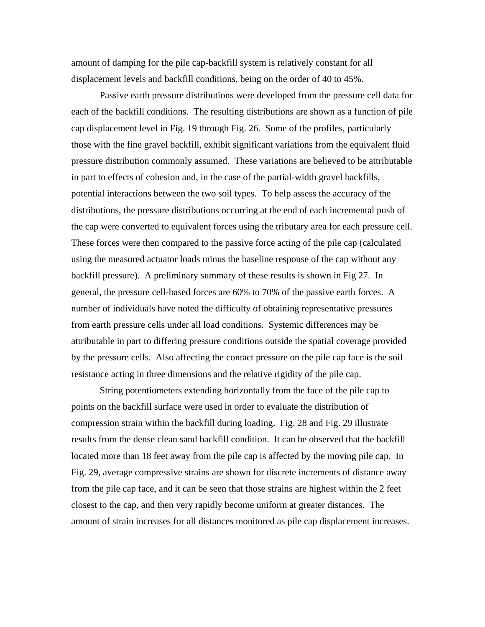amount of damping for the pile cap-backfill system is relatively constant for all displacement levels and backfill conditions, being on the order of 40 to 45%.

Passive earth pressure distributions were developed from the pressure cell data for each of the backfill conditions. The resulting distributions are shown as a function of pile cap displacement level in Fig. 19 through Fig. 26. Some of the profiles, particularly those with the fine gravel backfill, exhibit significant variations from the equivalent fluid pressure distribution commonly assumed. These variations are believed to be attributable in part to effects of cohesion and, in the case of the partial-width gravel backfills, potential interactions between the two soil types. To help assess the accuracy of the distributions, the pressure distributions occurring at the end of each incremental push of the cap were converted to equivalent forces using the tributary area for each pressure cell. These forces were then compared to the passive force acting of the pile cap (calculated using the measured actuator loads minus the baseline response of the cap without any backfill pressure). A preliminary summary of these results is shown in Fig 27. In general, the pressure cell-based forces are 60% to 70% of the passive earth forces. A number of individuals have noted the difficulty of obtaining representative pressures from earth pressure cells under all load conditions. Systemic differences may be attributable in part to differing pressure conditions outside the spatial coverage provided by the pressure cells. Also affecting the contact pressure on the pile cap face is the soil resistance acting in three dimensions and the relative rigidity of the pile cap.

String potentiometers extending horizontally from the face of the pile cap to points on the backfill surface were used in order to evaluate the distribution of compression strain within the backfill during loading. Fig. 28 and Fig. 29 illustrate results from the dense clean sand backfill condition. It can be observed that the backfill located more than 18 feet away from the pile cap is affected by the moving pile cap. In Fig. 29, average compressive strains are shown for discrete increments of distance away from the pile cap face, and it can be seen that those strains are highest within the 2 feet closest to the cap, and then very rapidly become uniform at greater distances. The amount of strain increases for all distances monitored as pile cap displacement increases.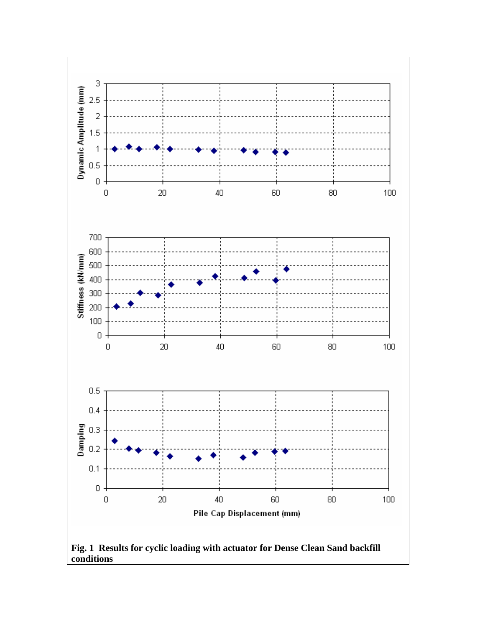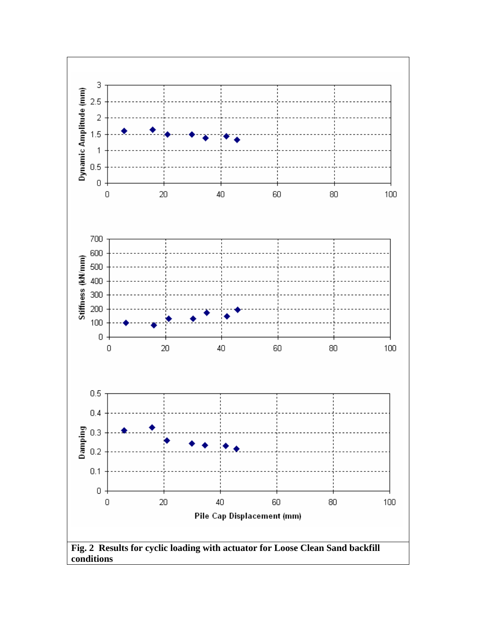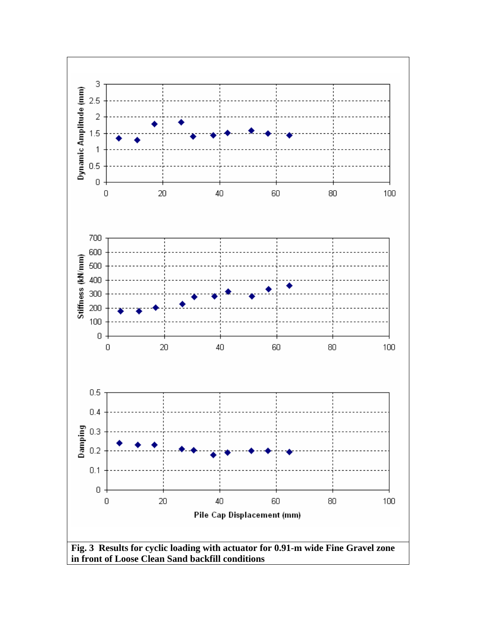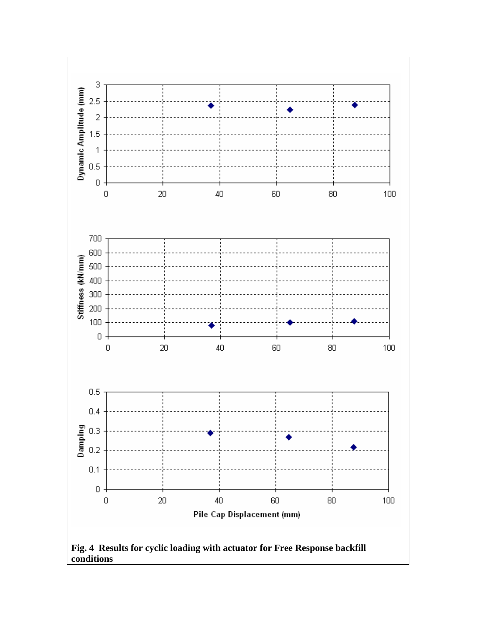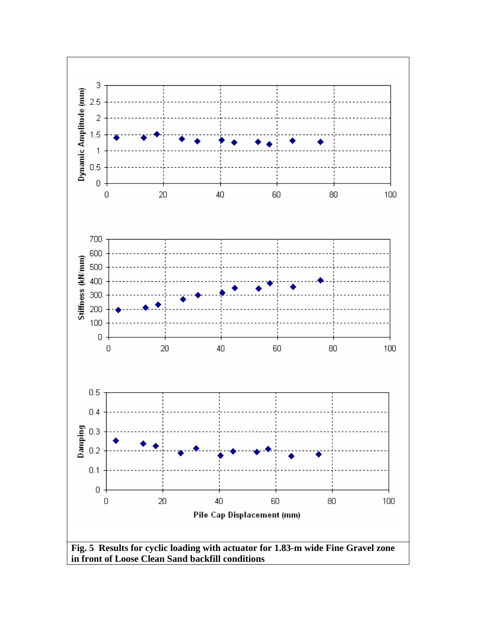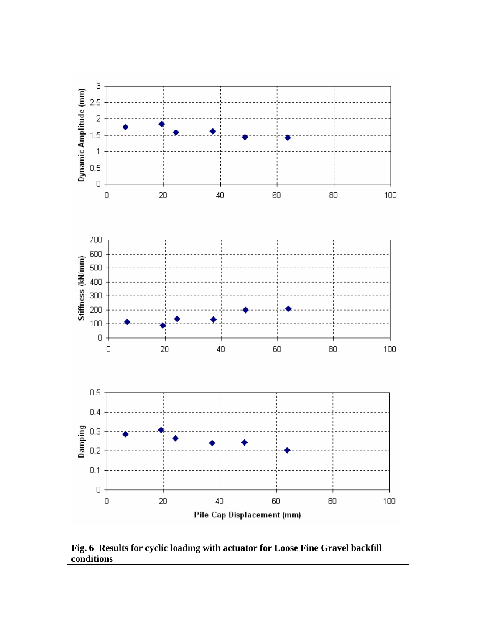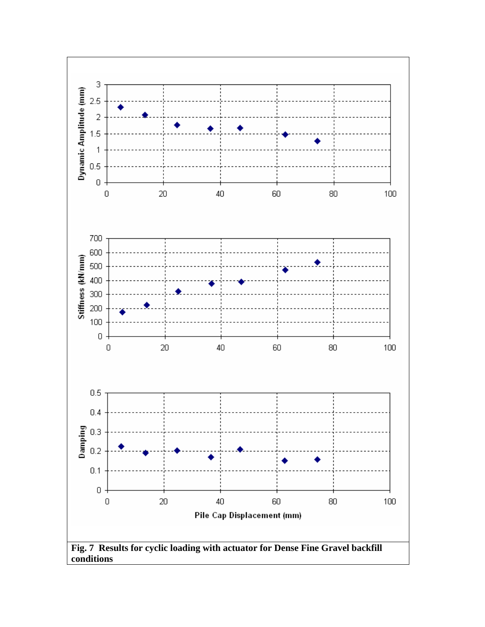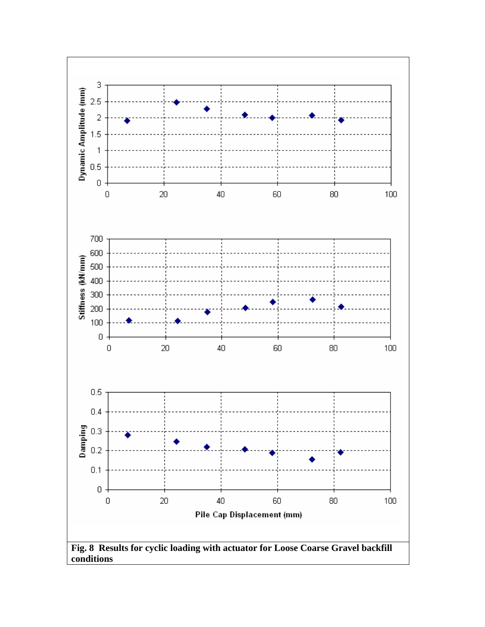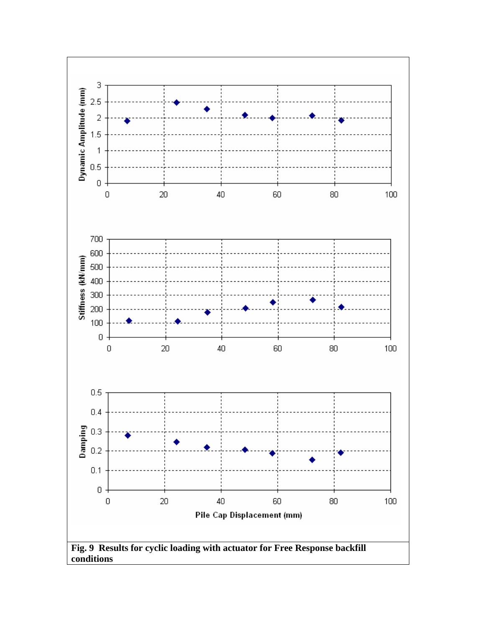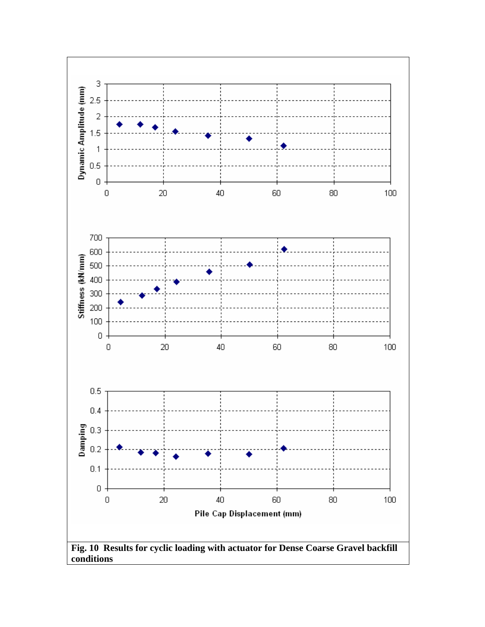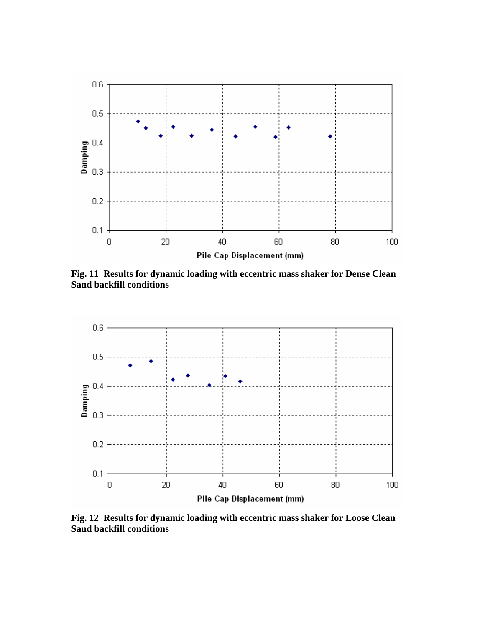

**Fig. 11 Results for dynamic loading with eccentric mass shaker for Dense Clean Sand backfill conditions** 



**Fig. 12 Results for dynamic loading with eccentric mass shaker for Loose Clean Sand backfill conditions**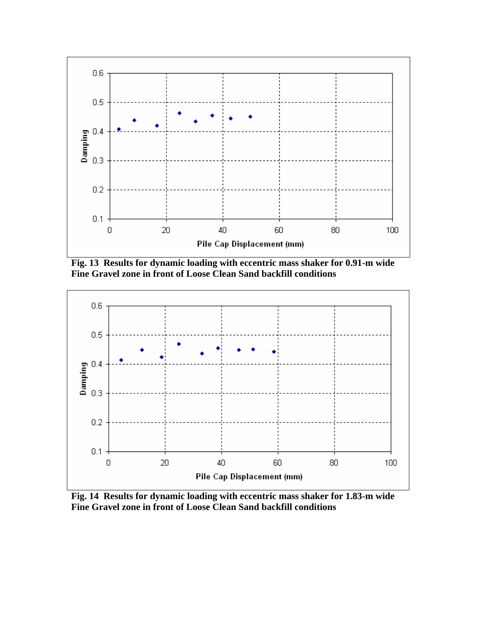

**Fig. 13 Results for dynamic loading with eccentric mass shaker for 0.91-m wide Fine Gravel zone in front of Loose Clean Sand backfill conditions** 



**Fig. 14 Results for dynamic loading with eccentric mass shaker for 1.83-m wide Fine Gravel zone in front of Loose Clean Sand backfill conditions**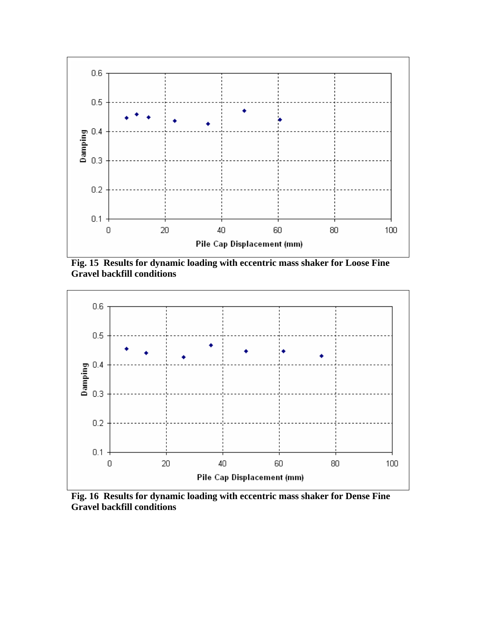

**Fig. 15 Results for dynamic loading with eccentric mass shaker for Loose Fine Gravel backfill conditions** 



**Fig. 16 Results for dynamic loading with eccentric mass shaker for Dense Fine Gravel backfill conditions**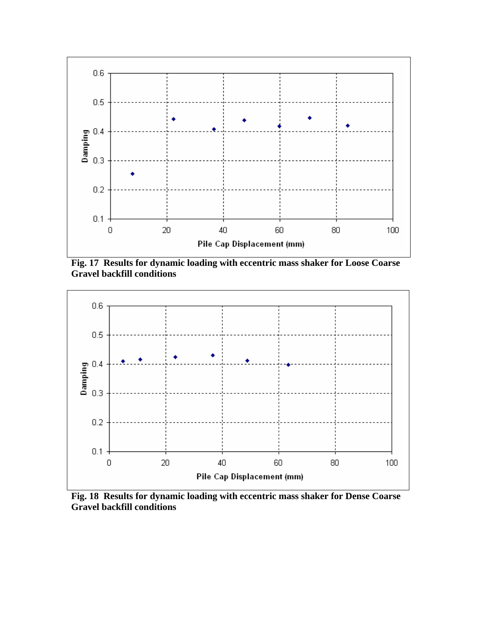

**Fig. 17 Results for dynamic loading with eccentric mass shaker for Loose Coarse Gravel backfill conditions** 



**Fig. 18 Results for dynamic loading with eccentric mass shaker for Dense Coarse Gravel backfill conditions**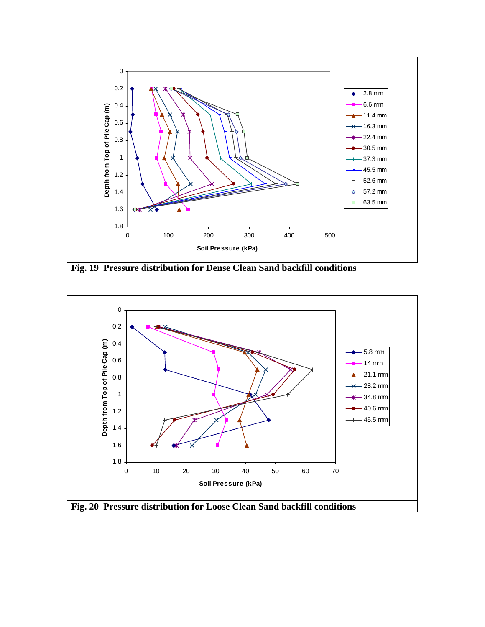

**Fig. 19 Pressure distribution for Dense Clean Sand backfill conditions** 

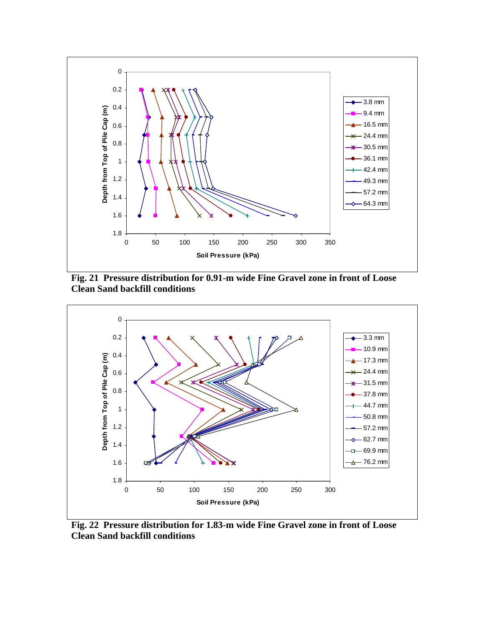

**Fig. 21 Pressure distribution for 0.91-m wide Fine Gravel zone in front of Loose Clean Sand backfill conditions**



**Fig. 22 Pressure distribution for 1.83-m wide Fine Gravel zone in front of Loose Clean Sand backfill conditions**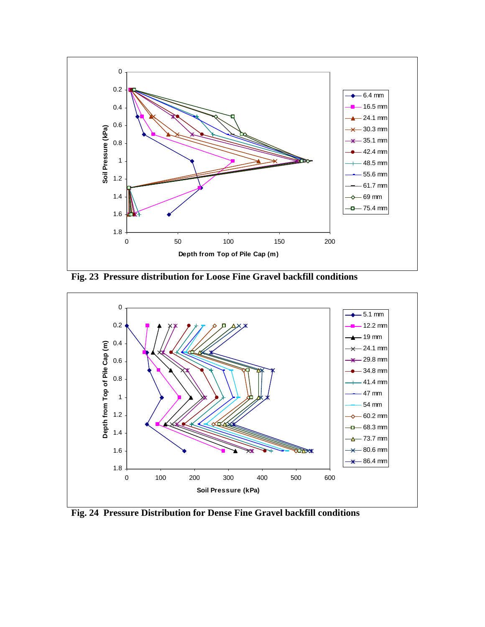

**Fig. 23 Pressure distribution for Loose Fine Gravel backfill conditions**



**Fig. 24 Pressure Distribution for Dense Fine Gravel backfill conditions**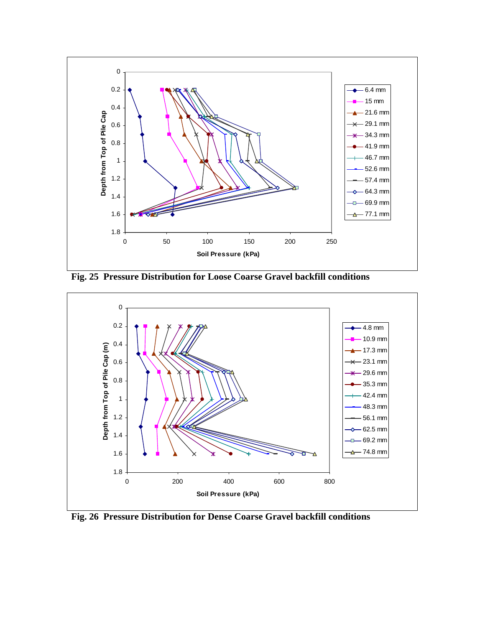

**Fig. 25 Pressure Distribution for Loose Coarse Gravel backfill conditions** 



**Fig. 26 Pressure Distribution for Dense Coarse Gravel backfill conditions**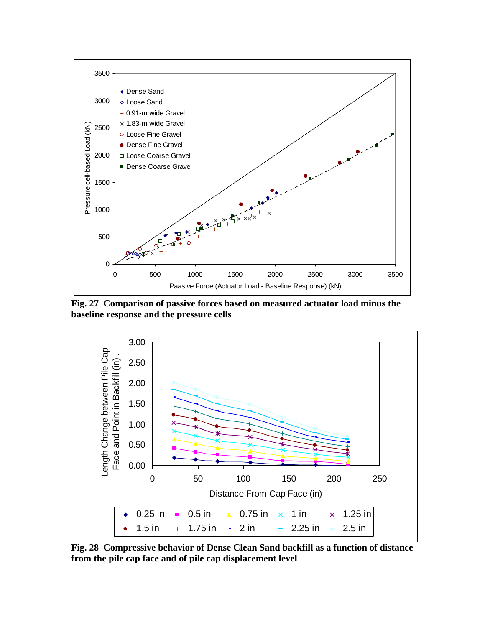

**Fig. 27 Comparison of passive forces based on measured actuator load minus the baseline response and the pressure cells**



**Fig. 28 Compressive behavior of Dense Clean Sand backfill as a function of distance from the pile cap face and of pile cap displacement level**